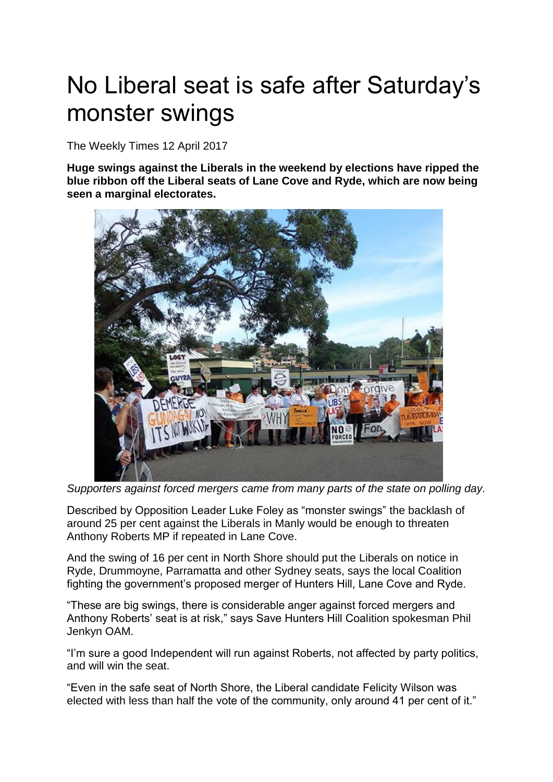## No Liberal seat is safe after Saturday's monster swings

The Weekly Times 12 April 2017

**Huge swings against the Liberals in the weekend by elections have ripped the blue ribbon off the Liberal seats of Lane Cove and Ryde, which are now being seen a marginal electorates.**



*Supporters against forced mergers came from many parts of the state on polling day.*

Described by Opposition Leader Luke Foley as "monster swings" the backlash of around 25 per cent against the Liberals in Manly would be enough to threaten Anthony Roberts MP if repeated in Lane Cove.

And the swing of 16 per cent in North Shore should put the Liberals on notice in Ryde, Drummoyne, Parramatta and other Sydney seats, says the local Coalition fighting the government's proposed merger of Hunters Hill, Lane Cove and Ryde.

"These are big swings, there is considerable anger against forced mergers and Anthony Roberts' seat is at risk," says Save Hunters Hill Coalition spokesman Phil Jenkyn OAM.

"I'm sure a good Independent will run against Roberts, not affected by party politics, and will win the seat.

"Even in the safe seat of North Shore, the Liberal candidate Felicity Wilson was elected with less than half the vote of the community, only around 41 per cent of it."